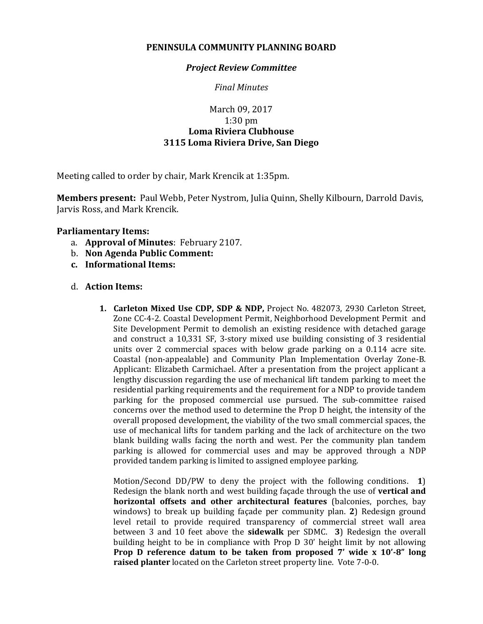## **PENINSULA COMMUNITY PLANNING BOARD**

## *Project Review Committee*

*Final Minutes*

## March 09, 2017 1:30 pm **Loma Riviera Clubhouse 3115 Loma Riviera Drive, San Diego**

Meeting called to order by chair, Mark Krencik at 1:35pm.

**Members present:** Paul Webb, Peter Nystrom, Julia Quinn, Shelly Kilbourn, Darrold Davis, Jarvis Ross, and Mark Krencik.

## **Parliamentary Items:**

- a. **Approval of Minutes**: February 2107.
- b. **Non Agenda Public Comment:**
- **c. Informational Items:**
- d. **Action Items:**
	- **1. Carleton Mixed Use CDP, SDP & NDP,** Project No. 482073, 2930 Carleton Street, Zone CC-4-2. Coastal Development Permit, Neighborhood Development Permit and Site Development Permit to demolish an existing residence with detached garage and construct a 10,331 SF, 3-story mixed use building consisting of 3 residential units over 2 commercial spaces with below grade parking on a 0.114 acre site. Coastal (non-appealable) and Community Plan Implementation Overlay Zone-B. Applicant: Elizabeth Carmichael. After a presentation from the project applicant a lengthy discussion regarding the use of mechanical lift tandem parking to meet the residential parking requirements and the requirement for a NDP to provide tandem parking for the proposed commercial use pursued. The sub-committee raised concerns over the method used to determine the Prop D height, the intensity of the overall proposed development, the viability of the two small commercial spaces, the use of mechanical lifts for tandem parking and the lack of architecture on the two blank building walls facing the north and west. Per the community plan tandem parking is allowed for commercial uses and may be approved through a NDP provided tandem parking is limited to assigned employee parking.

Motion/Second DD/PW to deny the project with the following conditions. **1**) Redesign the blank north and west building façade through the use of **vertical and horizontal offsets and other architectural features** (balconies, porches, bay windows) to break up building façade per community plan. **2**) Redesign ground level retail to provide required transparency of commercial street wall area between 3 and 10 feet above the **sidewalk** per SDMC. **3**) Redesign the overall building height to be in compliance with Prop D 30' height limit by not allowing **Prop D reference datum to be taken from proposed 7' wide x 10'-8" long raised planter** located on the Carleton street property line. Vote 7-0-0.